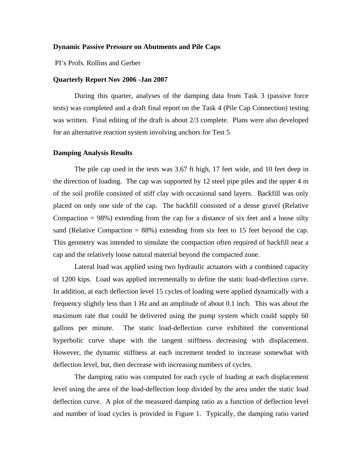### **Dynamic Passive Pressure on Abutments and Pile Caps**

PI's Profs. Rollins and Gerber

### **Quarterly Report Nov 2006 -Jan 2007**

During this quarter, analyses of the damping data from Task 3 (passive force tests) was completed and a draft final report on the Task 4 (Pile Cap Connection) testing was written. Final editing of the draft is about 2/3 complete. Plans were also developed for an alternative reaction system involving anchors for Test 5

### **Damping Analysis Results**

The pile cap used in the tests was 3.67 ft high, 17 feet wide, and 10 feet deep in the direction of loading. The cap was supported by 12 steel pipe piles and the upper 4 m of the soil profile consisted of stiff clay with occasional sand layers. Backfill was only placed on only one side of the cap. The backfill consisted of a dense gravel (Relative Compaction  $= 98\%$ ) extending from the cap for a distance of six feet and a loose silty sand (Relative Compaction  $= 88\%$ ) extending from six feet to 15 feet beyond the cap. This geometry was intended to simulate the compaction often required of backfill near a cap and the relatively loose natural material beyond the compacted zone.

Lateral load was applied using two hydraulic actuators with a combined capacity of 1200 kips. Load was applied incrementally to define the static load-deflection curve. In addition, at each deflection level 15 cycles of loading were applied dynamically with a frequency slightly less than 1 Hz and an amplitude of about 0.1 inch. This was about the maximum rate that could be delivered using the pump system which could supply 60 gallons per minute. The static load-deflection curve exhibited the conventional hyperbolic curve shape with the tangent stiffness decreasing with displacement. However, the dynamic stiffness at each increment tended to increase somewhat with deflection level, but, then decrease with increasing numbers of cycles.

The damping ratio was computed for each cycle of loading at each displacement level using the area of the load-deflection loop divided by the area under the static load deflection curve. A plot of the measured damping ratio as a function of deflection level and number of load cycles is provided in Figure 1. Typically, the damping ratio varied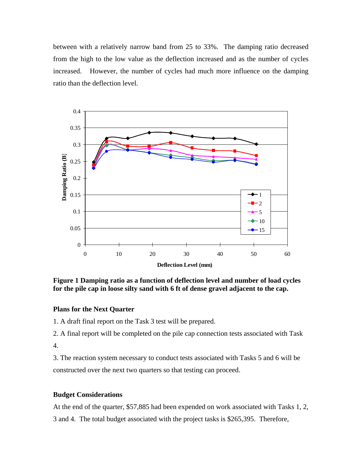between with a relatively narrow band from 25 to 33%. The damping ratio decreased from the high to the low value as the deflection increased and as the number of cycles increased. However, the number of cycles had much more influence on the damping ratio than the deflection level.



**Figure 1 Damping ratio as a function of deflection level and number of load cycles for the pile cap in loose silty sand with 6 ft of dense gravel adjacent to the cap.** 

# **Plans for the Next Quarter**

1. A draft final report on the Task 3 test will be prepared.

2. A final report will be completed on the pile cap connection tests associated with Task 4.

3. The reaction system necessary to conduct tests associated with Tasks 5 and 6 will be constructed over the next two quarters so that testing can proceed.

# **Budget Considerations**

At the end of the quarter, \$57,885 had been expended on work associated with Tasks 1, 2,

3 and 4. The total budget associated with the project tasks is \$265,395. Therefore,